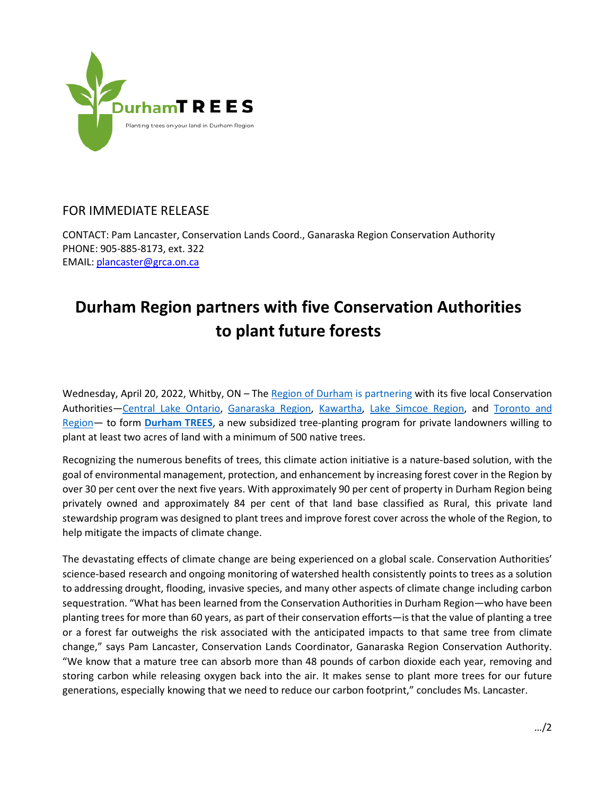

## FOR IMMEDIATE RELEASE

CONTACT: Pam Lancaster, Conservation Lands Coord., Ganaraska Region Conservation Authority PHONE: 905-885-8173, ext. 322 EMAIL: [plancaster@grca.on.ca](mailto:plancaster@grca.on.ca)

## **Durham Region partners with five Conservation Authorities to plant future forests**

Wednesday, April 20, 2022, Whitby, ON – The [Region of Durham](https://www.durham.ca/en/index.aspx) is partnering with its five local Conservation Authorities-Central Lake [Ontario,](https://www.cloca.com/) [Ganaraska](https://www.grca.on.ca/) Region, [Kawartha,](https://www.kawarthaconservation.com/en/index.aspx) Lake Simcoe [Region,](https://www.lsrca.on.ca/) and [Toronto](https://trca.ca/) and [Region—](https://trca.ca/) to form **[Durham TREES](https://durhamtrees.org/)**, a new subsidized tree-planting program for private landowners willing to plant at least two acres of land with a minimum of 500 native trees.

Recognizing the numerous benefits of trees, this climate action initiative is a nature-based solution, with the goal of environmental management, protection, and enhancement by increasing forest cover in the Region by over 30 per cent over the next five years. With approximately 90 per cent of property in Durham Region being privately owned and approximately 84 per cent of that land base classified as Rural, this private land stewardship program was designed to plant trees and improve forest cover across the whole of the Region, to help mitigate the impacts of climate change.

The devastating effects of climate change are being experienced on a global scale. Conservation Authorities' science-based research and ongoing monitoring of watershed health consistently points to trees as a solution to addressing drought, flooding, invasive species, and many other aspects of climate change including carbon sequestration. "What has been learned from the Conservation Authorities in Durham Region—who have been planting trees for more than 60 years, as part of their conservation efforts—is that the value of planting a tree or a forest far outweighs the risk associated with the anticipated impacts to that same tree from climate change," says Pam Lancaster, Conservation Lands Coordinator, Ganaraska Region Conservation Authority. "We know that a mature tree can absorb more than 48 pounds of carbon dioxide each year, removing and storing carbon while releasing oxygen back into the air. It makes sense to plant more trees for our future generations, especially knowing that we need to reduce our carbon footprint," concludes Ms. Lancaster.